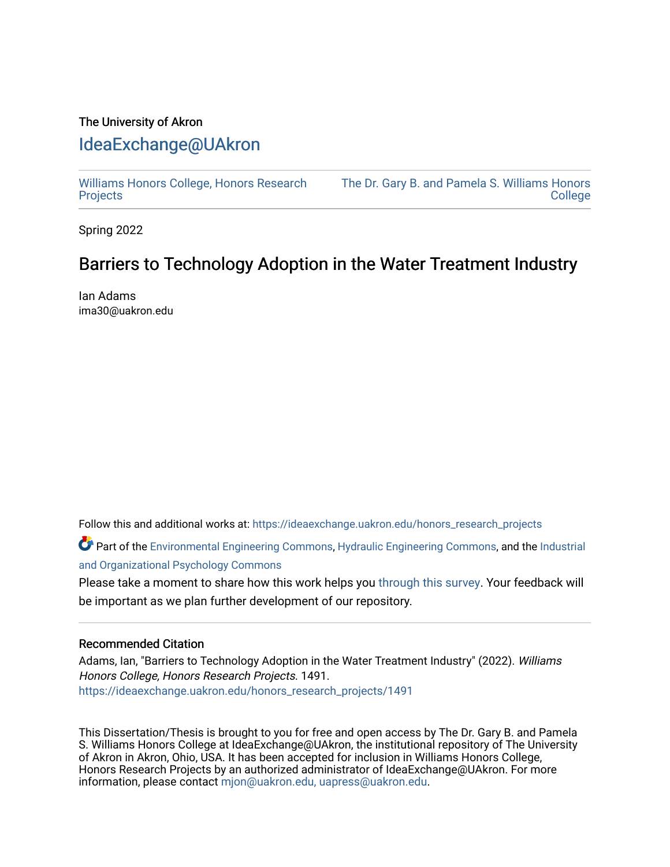## The University of Akron [IdeaExchange@UAkron](https://ideaexchange.uakron.edu/)

[Williams Honors College, Honors Research](https://ideaexchange.uakron.edu/honors_research_projects)  **[Projects](https://ideaexchange.uakron.edu/honors_research_projects)** 

[The Dr. Gary B. and Pamela S. Williams Honors](https://ideaexchange.uakron.edu/honorscollege_ideas)  **College** 

Spring 2022

## Barriers to Technology Adoption in the Water Treatment Industry

Ian Adams ima30@uakron.edu

Follow this and additional works at: [https://ideaexchange.uakron.edu/honors\\_research\\_projects](https://ideaexchange.uakron.edu/honors_research_projects?utm_source=ideaexchange.uakron.edu%2Fhonors_research_projects%2F1491&utm_medium=PDF&utm_campaign=PDFCoverPages) 

Part of the [Environmental Engineering Commons](http://network.bepress.com/hgg/discipline/254?utm_source=ideaexchange.uakron.edu%2Fhonors_research_projects%2F1491&utm_medium=PDF&utm_campaign=PDFCoverPages), [Hydraulic Engineering Commons,](http://network.bepress.com/hgg/discipline/1087?utm_source=ideaexchange.uakron.edu%2Fhonors_research_projects%2F1491&utm_medium=PDF&utm_campaign=PDFCoverPages) and the [Industrial](http://network.bepress.com/hgg/discipline/412?utm_source=ideaexchange.uakron.edu%2Fhonors_research_projects%2F1491&utm_medium=PDF&utm_campaign=PDFCoverPages) [and Organizational Psychology Commons](http://network.bepress.com/hgg/discipline/412?utm_source=ideaexchange.uakron.edu%2Fhonors_research_projects%2F1491&utm_medium=PDF&utm_campaign=PDFCoverPages) 

Please take a moment to share how this work helps you [through this survey](http://survey.az1.qualtrics.com/SE/?SID=SV_eEVH54oiCbOw05f&URL=https://ideaexchange.uakron.edu/honors_research_projects/1491). Your feedback will be important as we plan further development of our repository.

#### Recommended Citation

Adams, Ian, "Barriers to Technology Adoption in the Water Treatment Industry" (2022). Williams Honors College, Honors Research Projects. 1491. [https://ideaexchange.uakron.edu/honors\\_research\\_projects/1491](https://ideaexchange.uakron.edu/honors_research_projects/1491?utm_source=ideaexchange.uakron.edu%2Fhonors_research_projects%2F1491&utm_medium=PDF&utm_campaign=PDFCoverPages) 

This Dissertation/Thesis is brought to you for free and open access by The Dr. Gary B. and Pamela S. Williams Honors College at IdeaExchange@UAkron, the institutional repository of The University of Akron in Akron, Ohio, USA. It has been accepted for inclusion in Williams Honors College, Honors Research Projects by an authorized administrator of IdeaExchange@UAkron. For more information, please contact [mjon@uakron.edu, uapress@uakron.edu.](mailto:mjon@uakron.edu,%20uapress@uakron.edu)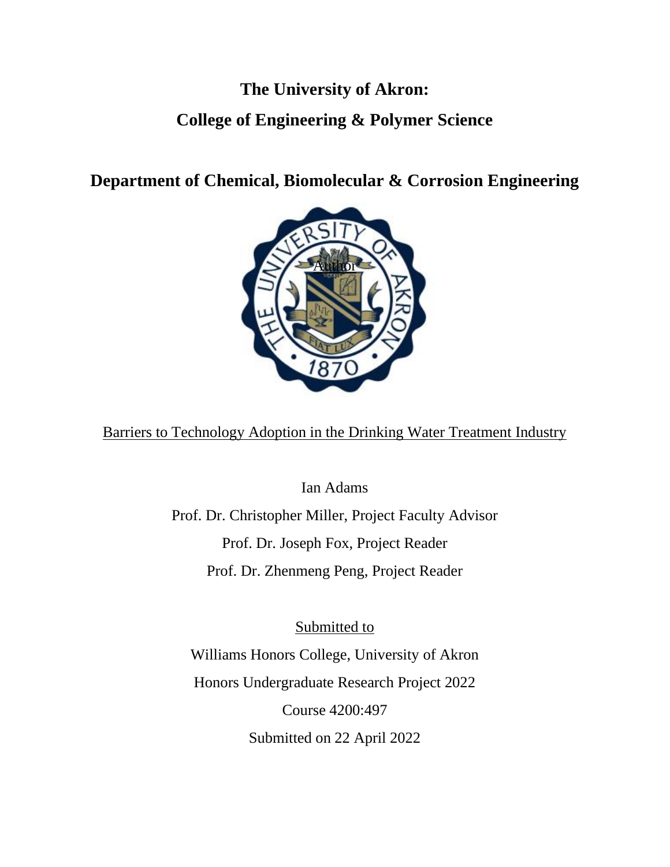# **The University of Akron: College of Engineering & Polymer Science**

**Department of Chemical, Biomolecular & Corrosion Engineering**



Barriers to Technology Adoption in the Drinking Water Treatment Industry

Ian Adams

Prof. Dr. Christopher Miller, Project Faculty Advisor Prof. Dr. Joseph Fox, Project Reader Prof. Dr. Zhenmeng Peng, Project Reader

Submitted to Williams Honors College, University of Akron Honors Undergraduate Research Project 2022 Course 4200:497 Submitted on 22 April 2022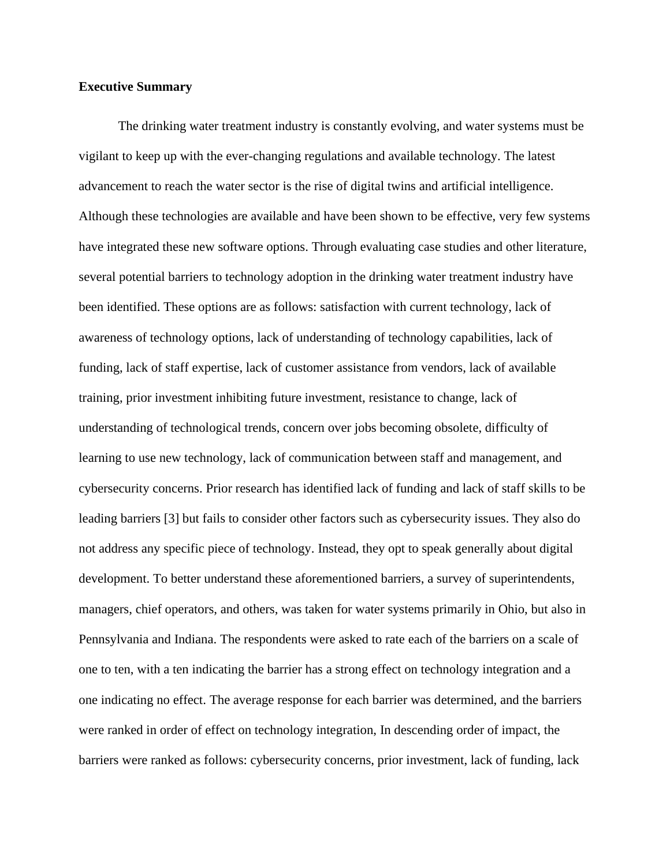#### **Executive Summary**

The drinking water treatment industry is constantly evolving, and water systems must be vigilant to keep up with the ever-changing regulations and available technology. The latest advancement to reach the water sector is the rise of digital twins and artificial intelligence. Although these technologies are available and have been shown to be effective, very few systems have integrated these new software options. Through evaluating case studies and other literature, several potential barriers to technology adoption in the drinking water treatment industry have been identified. These options are as follows: satisfaction with current technology, lack of awareness of technology options, lack of understanding of technology capabilities, lack of funding, lack of staff expertise, lack of customer assistance from vendors, lack of available training, prior investment inhibiting future investment, resistance to change, lack of understanding of technological trends, concern over jobs becoming obsolete, difficulty of learning to use new technology, lack of communication between staff and management, and cybersecurity concerns. Prior research has identified lack of funding and lack of staff skills to be leading barriers [3] but fails to consider other factors such as cybersecurity issues. They also do not address any specific piece of technology. Instead, they opt to speak generally about digital development. To better understand these aforementioned barriers, a survey of superintendents, managers, chief operators, and others, was taken for water systems primarily in Ohio, but also in Pennsylvania and Indiana. The respondents were asked to rate each of the barriers on a scale of one to ten, with a ten indicating the barrier has a strong effect on technology integration and a one indicating no effect. The average response for each barrier was determined, and the barriers were ranked in order of effect on technology integration, In descending order of impact, the barriers were ranked as follows: cybersecurity concerns, prior investment, lack of funding, lack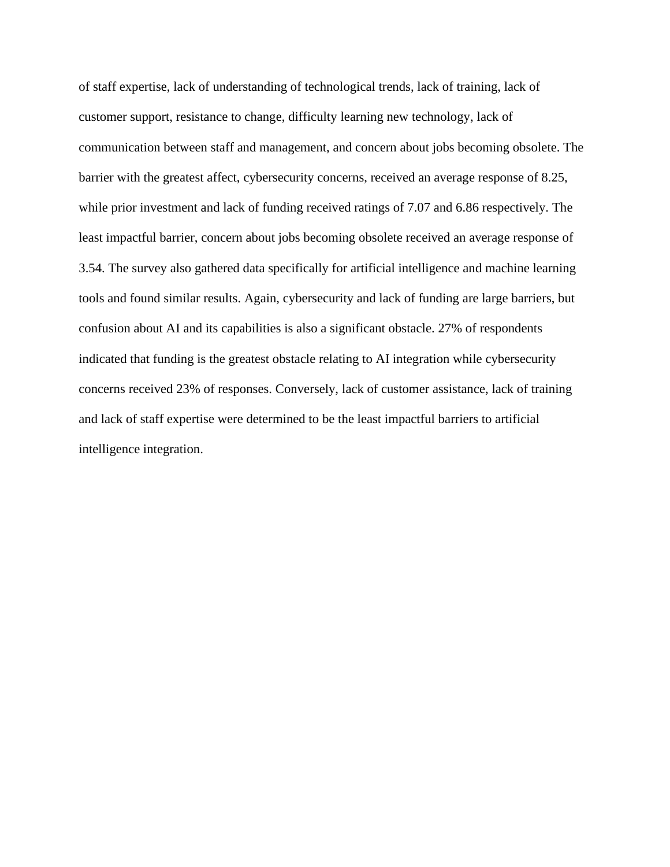of staff expertise, lack of understanding of technological trends, lack of training, lack of customer support, resistance to change, difficulty learning new technology, lack of communication between staff and management, and concern about jobs becoming obsolete. The barrier with the greatest affect, cybersecurity concerns, received an average response of 8.25, while prior investment and lack of funding received ratings of 7.07 and 6.86 respectively. The least impactful barrier, concern about jobs becoming obsolete received an average response of 3.54. The survey also gathered data specifically for artificial intelligence and machine learning tools and found similar results. Again, cybersecurity and lack of funding are large barriers, but confusion about AI and its capabilities is also a significant obstacle. 27% of respondents indicated that funding is the greatest obstacle relating to AI integration while cybersecurity concerns received 23% of responses. Conversely, lack of customer assistance, lack of training and lack of staff expertise were determined to be the least impactful barriers to artificial intelligence integration.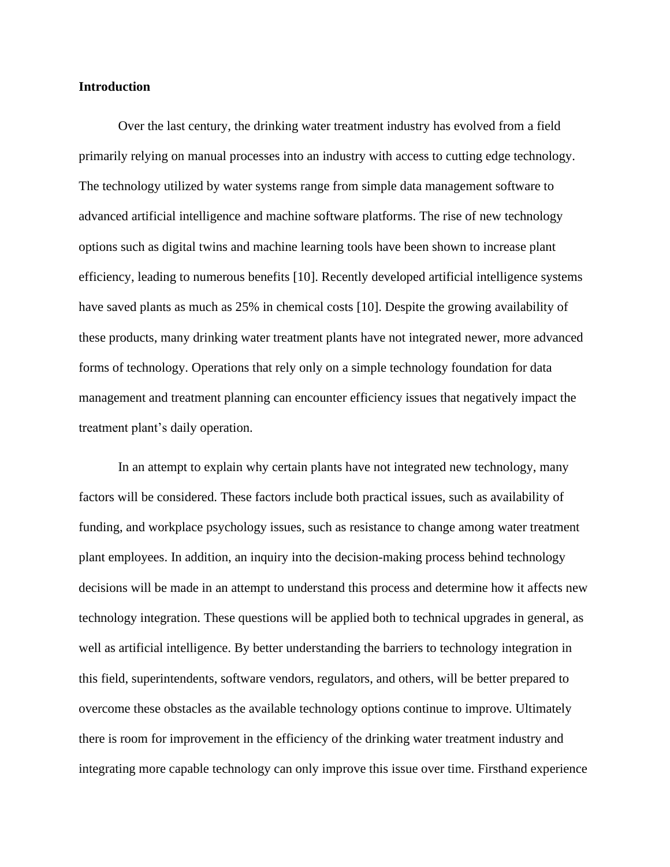#### **Introduction**

Over the last century, the drinking water treatment industry has evolved from a field primarily relying on manual processes into an industry with access to cutting edge technology. The technology utilized by water systems range from simple data management software to advanced artificial intelligence and machine software platforms. The rise of new technology options such as digital twins and machine learning tools have been shown to increase plant efficiency, leading to numerous benefits [10]. Recently developed artificial intelligence systems have saved plants as much as 25% in chemical costs [10]. Despite the growing availability of these products, many drinking water treatment plants have not integrated newer, more advanced forms of technology. Operations that rely only on a simple technology foundation for data management and treatment planning can encounter efficiency issues that negatively impact the treatment plant's daily operation.

In an attempt to explain why certain plants have not integrated new technology, many factors will be considered. These factors include both practical issues, such as availability of funding, and workplace psychology issues, such as resistance to change among water treatment plant employees. In addition, an inquiry into the decision-making process behind technology decisions will be made in an attempt to understand this process and determine how it affects new technology integration. These questions will be applied both to technical upgrades in general, as well as artificial intelligence. By better understanding the barriers to technology integration in this field, superintendents, software vendors, regulators, and others, will be better prepared to overcome these obstacles as the available technology options continue to improve. Ultimately there is room for improvement in the efficiency of the drinking water treatment industry and integrating more capable technology can only improve this issue over time. Firsthand experience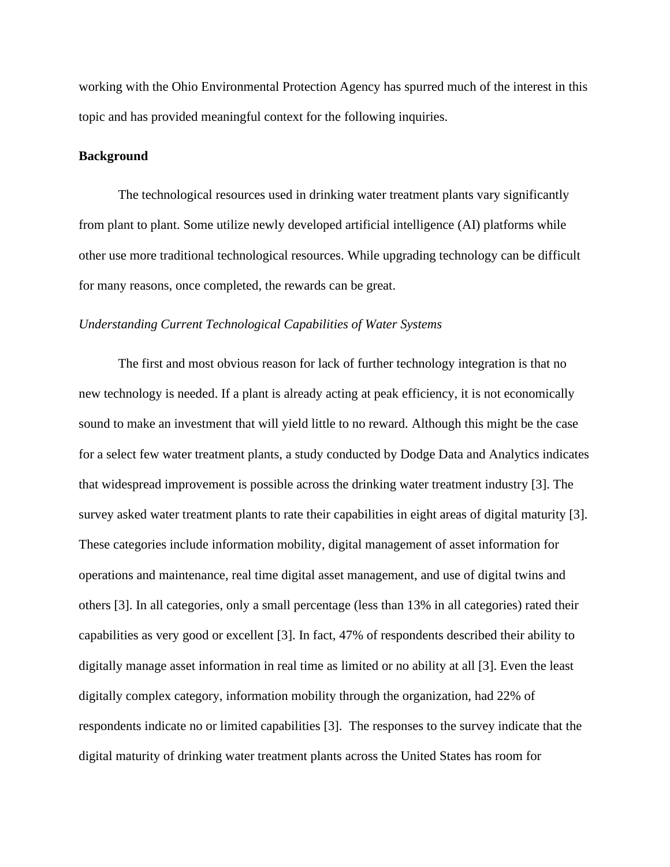working with the Ohio Environmental Protection Agency has spurred much of the interest in this topic and has provided meaningful context for the following inquiries.

#### **Background**

The technological resources used in drinking water treatment plants vary significantly from plant to plant. Some utilize newly developed artificial intelligence (AI) platforms while other use more traditional technological resources. While upgrading technology can be difficult for many reasons, once completed, the rewards can be great.

#### *Understanding Current Technological Capabilities of Water Systems*

The first and most obvious reason for lack of further technology integration is that no new technology is needed. If a plant is already acting at peak efficiency, it is not economically sound to make an investment that will yield little to no reward. Although this might be the case for a select few water treatment plants, a study conducted by Dodge Data and Analytics indicates that widespread improvement is possible across the drinking water treatment industry [3]. The survey asked water treatment plants to rate their capabilities in eight areas of digital maturity [3]. These categories include information mobility, digital management of asset information for operations and maintenance, real time digital asset management, and use of digital twins and others [3]. In all categories, only a small percentage (less than 13% in all categories) rated their capabilities as very good or excellent [3]. In fact, 47% of respondents described their ability to digitally manage asset information in real time as limited or no ability at all [3]. Even the least digitally complex category, information mobility through the organization, had 22% of respondents indicate no or limited capabilities [3]. The responses to the survey indicate that the digital maturity of drinking water treatment plants across the United States has room for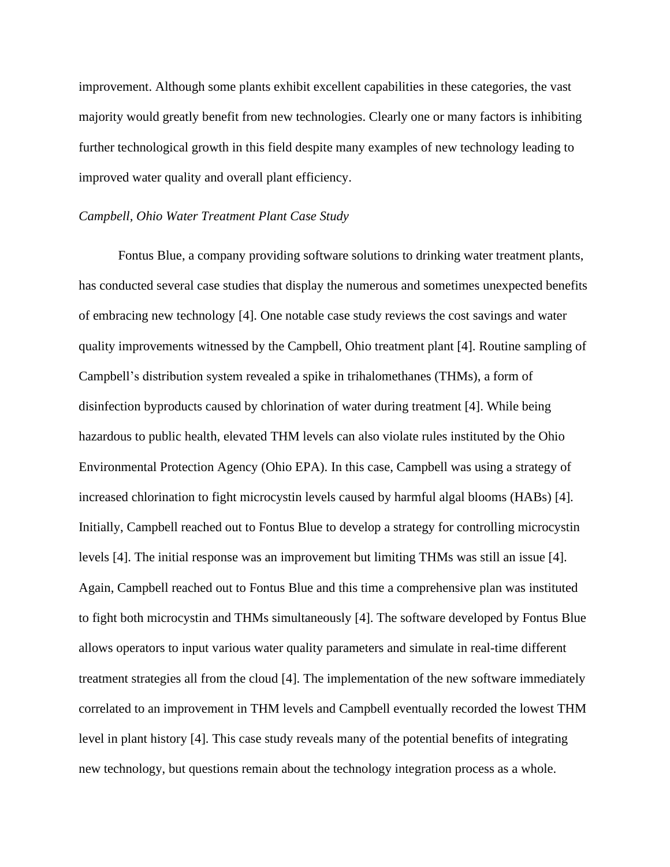improvement. Although some plants exhibit excellent capabilities in these categories, the vast majority would greatly benefit from new technologies. Clearly one or many factors is inhibiting further technological growth in this field despite many examples of new technology leading to improved water quality and overall plant efficiency.

#### *Campbell, Ohio Water Treatment Plant Case Study*

Fontus Blue, a company providing software solutions to drinking water treatment plants, has conducted several case studies that display the numerous and sometimes unexpected benefits of embracing new technology [4]. One notable case study reviews the cost savings and water quality improvements witnessed by the Campbell, Ohio treatment plant [4]. Routine sampling of Campbell's distribution system revealed a spike in trihalomethanes (THMs), a form of disinfection byproducts caused by chlorination of water during treatment [4]. While being hazardous to public health, elevated THM levels can also violate rules instituted by the Ohio Environmental Protection Agency (Ohio EPA). In this case, Campbell was using a strategy of increased chlorination to fight microcystin levels caused by harmful algal blooms (HABs) [4]. Initially, Campbell reached out to Fontus Blue to develop a strategy for controlling microcystin levels [4]. The initial response was an improvement but limiting THMs was still an issue [4]. Again, Campbell reached out to Fontus Blue and this time a comprehensive plan was instituted to fight both microcystin and THMs simultaneously [4]. The software developed by Fontus Blue allows operators to input various water quality parameters and simulate in real-time different treatment strategies all from the cloud [4]. The implementation of the new software immediately correlated to an improvement in THM levels and Campbell eventually recorded the lowest THM level in plant history [4]. This case study reveals many of the potential benefits of integrating new technology, but questions remain about the technology integration process as a whole.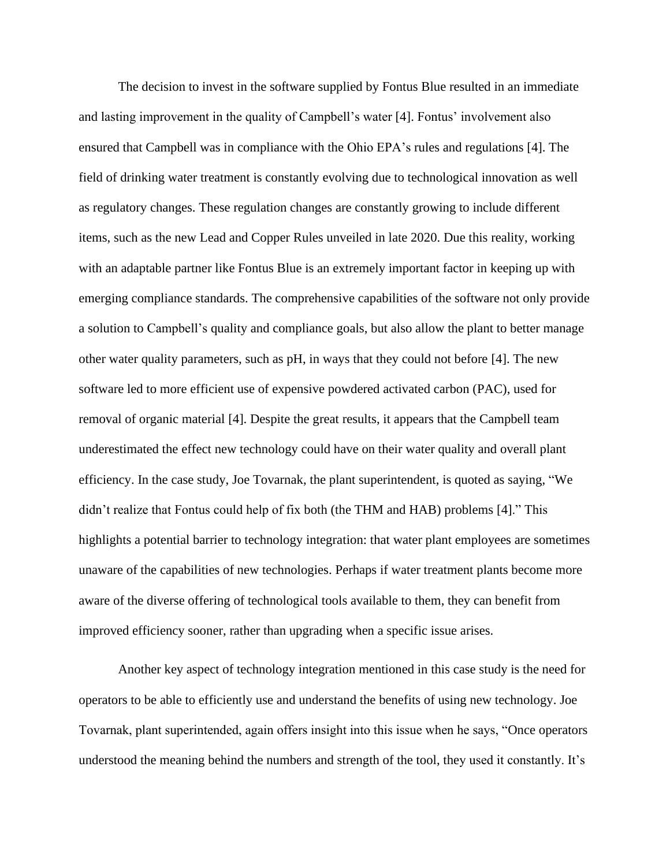The decision to invest in the software supplied by Fontus Blue resulted in an immediate and lasting improvement in the quality of Campbell's water [4]. Fontus' involvement also ensured that Campbell was in compliance with the Ohio EPA's rules and regulations [4]. The field of drinking water treatment is constantly evolving due to technological innovation as well as regulatory changes. These regulation changes are constantly growing to include different items, such as the new Lead and Copper Rules unveiled in late 2020. Due this reality, working with an adaptable partner like Fontus Blue is an extremely important factor in keeping up with emerging compliance standards. The comprehensive capabilities of the software not only provide a solution to Campbell's quality and compliance goals, but also allow the plant to better manage other water quality parameters, such as pH, in ways that they could not before [4]. The new software led to more efficient use of expensive powdered activated carbon (PAC), used for removal of organic material [4]. Despite the great results, it appears that the Campbell team underestimated the effect new technology could have on their water quality and overall plant efficiency. In the case study, Joe Tovarnak, the plant superintendent, is quoted as saying, "We didn't realize that Fontus could help of fix both (the THM and HAB) problems [4]." This highlights a potential barrier to technology integration: that water plant employees are sometimes unaware of the capabilities of new technologies. Perhaps if water treatment plants become more aware of the diverse offering of technological tools available to them, they can benefit from improved efficiency sooner, rather than upgrading when a specific issue arises.

Another key aspect of technology integration mentioned in this case study is the need for operators to be able to efficiently use and understand the benefits of using new technology. Joe Tovarnak, plant superintended, again offers insight into this issue when he says, "Once operators understood the meaning behind the numbers and strength of the tool, they used it constantly. It's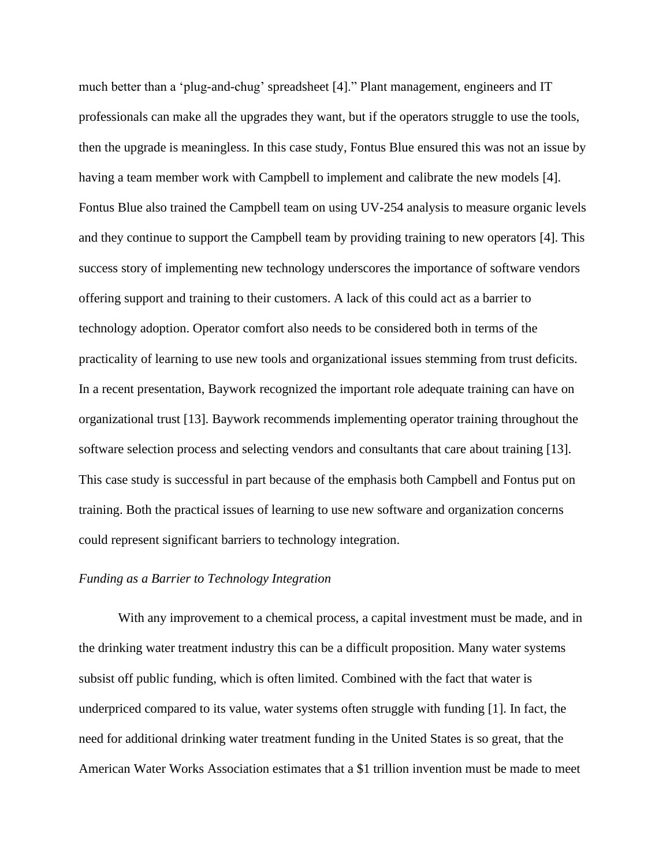much better than a 'plug-and-chug' spreadsheet [4]." Plant management, engineers and IT professionals can make all the upgrades they want, but if the operators struggle to use the tools, then the upgrade is meaningless. In this case study, Fontus Blue ensured this was not an issue by having a team member work with Campbell to implement and calibrate the new models [4]. Fontus Blue also trained the Campbell team on using UV-254 analysis to measure organic levels and they continue to support the Campbell team by providing training to new operators [4]. This success story of implementing new technology underscores the importance of software vendors offering support and training to their customers. A lack of this could act as a barrier to technology adoption. Operator comfort also needs to be considered both in terms of the practicality of learning to use new tools and organizational issues stemming from trust deficits. In a recent presentation, Baywork recognized the important role adequate training can have on organizational trust [13]. Baywork recommends implementing operator training throughout the software selection process and selecting vendors and consultants that care about training [13]. This case study is successful in part because of the emphasis both Campbell and Fontus put on training. Both the practical issues of learning to use new software and organization concerns could represent significant barriers to technology integration.

#### *Funding as a Barrier to Technology Integration*

With any improvement to a chemical process, a capital investment must be made, and in the drinking water treatment industry this can be a difficult proposition. Many water systems subsist off public funding, which is often limited. Combined with the fact that water is underpriced compared to its value, water systems often struggle with funding [1]. In fact, the need for additional drinking water treatment funding in the United States is so great, that the American Water Works Association estimates that a \$1 trillion invention must be made to meet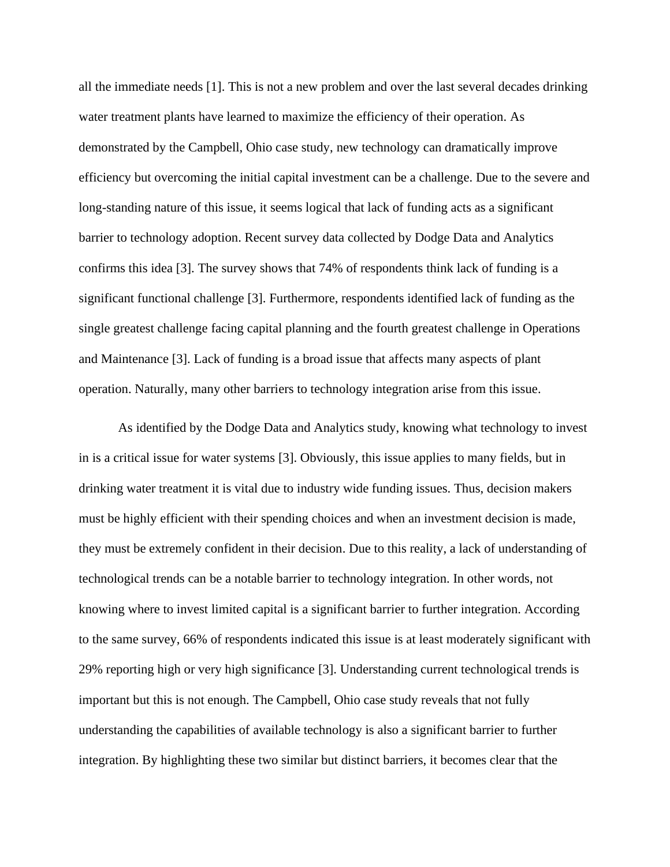all the immediate needs [1]. This is not a new problem and over the last several decades drinking water treatment plants have learned to maximize the efficiency of their operation. As demonstrated by the Campbell, Ohio case study, new technology can dramatically improve efficiency but overcoming the initial capital investment can be a challenge. Due to the severe and long-standing nature of this issue, it seems logical that lack of funding acts as a significant barrier to technology adoption. Recent survey data collected by Dodge Data and Analytics confirms this idea [3]. The survey shows that 74% of respondents think lack of funding is a significant functional challenge [3]. Furthermore, respondents identified lack of funding as the single greatest challenge facing capital planning and the fourth greatest challenge in Operations and Maintenance [3]. Lack of funding is a broad issue that affects many aspects of plant operation. Naturally, many other barriers to technology integration arise from this issue.

As identified by the Dodge Data and Analytics study, knowing what technology to invest in is a critical issue for water systems [3]. Obviously, this issue applies to many fields, but in drinking water treatment it is vital due to industry wide funding issues. Thus, decision makers must be highly efficient with their spending choices and when an investment decision is made, they must be extremely confident in their decision. Due to this reality, a lack of understanding of technological trends can be a notable barrier to technology integration. In other words, not knowing where to invest limited capital is a significant barrier to further integration. According to the same survey, 66% of respondents indicated this issue is at least moderately significant with 29% reporting high or very high significance [3]. Understanding current technological trends is important but this is not enough. The Campbell, Ohio case study reveals that not fully understanding the capabilities of available technology is also a significant barrier to further integration. By highlighting these two similar but distinct barriers, it becomes clear that the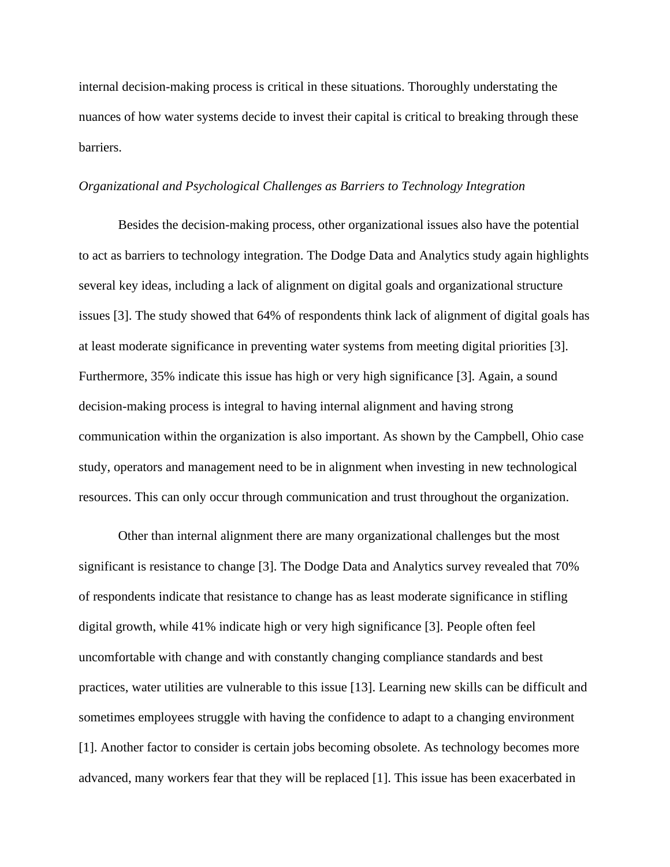internal decision-making process is critical in these situations. Thoroughly understating the nuances of how water systems decide to invest their capital is critical to breaking through these barriers.

#### *Organizational and Psychological Challenges as Barriers to Technology Integration*

Besides the decision-making process, other organizational issues also have the potential to act as barriers to technology integration. The Dodge Data and Analytics study again highlights several key ideas, including a lack of alignment on digital goals and organizational structure issues [3]. The study showed that 64% of respondents think lack of alignment of digital goals has at least moderate significance in preventing water systems from meeting digital priorities [3]. Furthermore, 35% indicate this issue has high or very high significance [3]. Again, a sound decision-making process is integral to having internal alignment and having strong communication within the organization is also important. As shown by the Campbell, Ohio case study, operators and management need to be in alignment when investing in new technological resources. This can only occur through communication and trust throughout the organization.

Other than internal alignment there are many organizational challenges but the most significant is resistance to change [3]. The Dodge Data and Analytics survey revealed that 70% of respondents indicate that resistance to change has as least moderate significance in stifling digital growth, while 41% indicate high or very high significance [3]. People often feel uncomfortable with change and with constantly changing compliance standards and best practices, water utilities are vulnerable to this issue [13]. Learning new skills can be difficult and sometimes employees struggle with having the confidence to adapt to a changing environment [1]. Another factor to consider is certain jobs becoming obsolete. As technology becomes more advanced, many workers fear that they will be replaced [1]. This issue has been exacerbated in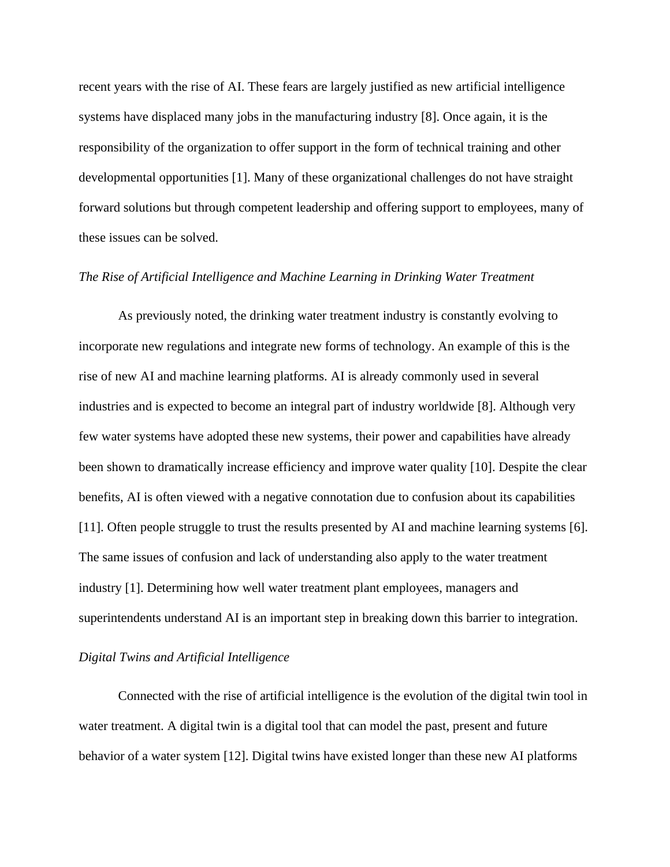recent years with the rise of AI. These fears are largely justified as new artificial intelligence systems have displaced many jobs in the manufacturing industry [8]. Once again, it is the responsibility of the organization to offer support in the form of technical training and other developmental opportunities [1]. Many of these organizational challenges do not have straight forward solutions but through competent leadership and offering support to employees, many of these issues can be solved.

#### *The Rise of Artificial Intelligence and Machine Learning in Drinking Water Treatment*

As previously noted, the drinking water treatment industry is constantly evolving to incorporate new regulations and integrate new forms of technology. An example of this is the rise of new AI and machine learning platforms. AI is already commonly used in several industries and is expected to become an integral part of industry worldwide [8]. Although very few water systems have adopted these new systems, their power and capabilities have already been shown to dramatically increase efficiency and improve water quality [10]. Despite the clear benefits, AI is often viewed with a negative connotation due to confusion about its capabilities [11]. Often people struggle to trust the results presented by AI and machine learning systems [6]. The same issues of confusion and lack of understanding also apply to the water treatment industry [1]. Determining how well water treatment plant employees, managers and superintendents understand AI is an important step in breaking down this barrier to integration.

#### *Digital Twins and Artificial Intelligence*

Connected with the rise of artificial intelligence is the evolution of the digital twin tool in water treatment. A digital twin is a digital tool that can model the past, present and future behavior of a water system [12]. Digital twins have existed longer than these new AI platforms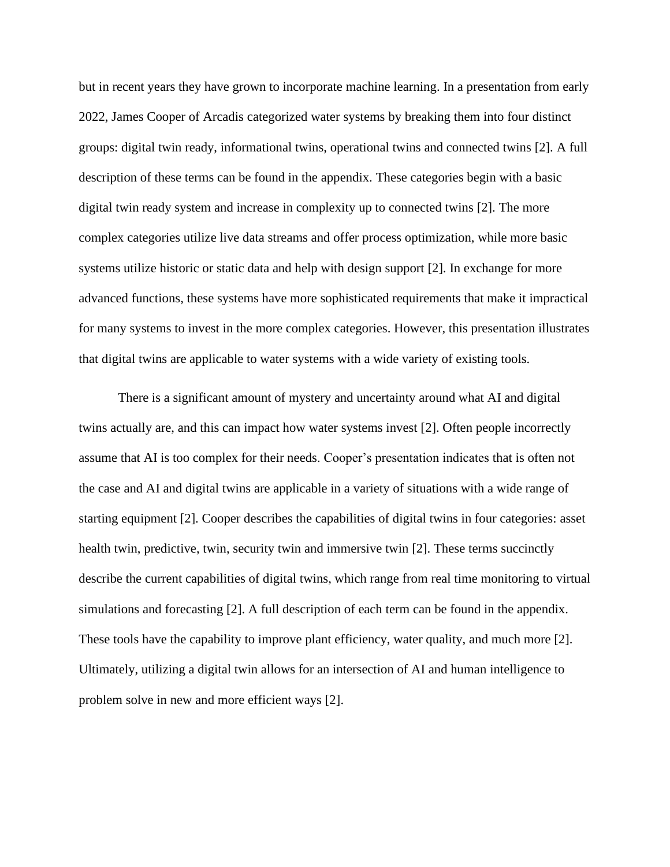but in recent years they have grown to incorporate machine learning. In a presentation from early 2022, James Cooper of Arcadis categorized water systems by breaking them into four distinct groups: digital twin ready, informational twins, operational twins and connected twins [2]. A full description of these terms can be found in the appendix. These categories begin with a basic digital twin ready system and increase in complexity up to connected twins [2]. The more complex categories utilize live data streams and offer process optimization, while more basic systems utilize historic or static data and help with design support [2]. In exchange for more advanced functions, these systems have more sophisticated requirements that make it impractical for many systems to invest in the more complex categories. However, this presentation illustrates that digital twins are applicable to water systems with a wide variety of existing tools.

There is a significant amount of mystery and uncertainty around what AI and digital twins actually are, and this can impact how water systems invest [2]. Often people incorrectly assume that AI is too complex for their needs. Cooper's presentation indicates that is often not the case and AI and digital twins are applicable in a variety of situations with a wide range of starting equipment [2]. Cooper describes the capabilities of digital twins in four categories: asset health twin, predictive, twin, security twin and immersive twin [2]. These terms succinctly describe the current capabilities of digital twins, which range from real time monitoring to virtual simulations and forecasting [2]. A full description of each term can be found in the appendix. These tools have the capability to improve plant efficiency, water quality, and much more [2]. Ultimately, utilizing a digital twin allows for an intersection of AI and human intelligence to problem solve in new and more efficient ways [2].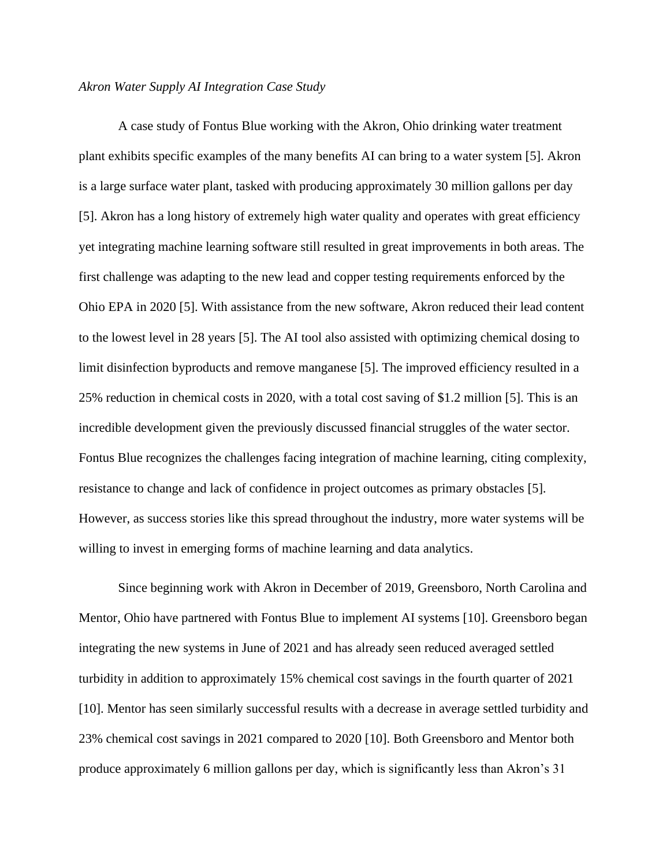#### *Akron Water Supply AI Integration Case Study*

A case study of Fontus Blue working with the Akron, Ohio drinking water treatment plant exhibits specific examples of the many benefits AI can bring to a water system [5]. Akron is a large surface water plant, tasked with producing approximately 30 million gallons per day [5]. Akron has a long history of extremely high water quality and operates with great efficiency yet integrating machine learning software still resulted in great improvements in both areas. The first challenge was adapting to the new lead and copper testing requirements enforced by the Ohio EPA in 2020 [5]. With assistance from the new software, Akron reduced their lead content to the lowest level in 28 years [5]. The AI tool also assisted with optimizing chemical dosing to limit disinfection byproducts and remove manganese [5]. The improved efficiency resulted in a 25% reduction in chemical costs in 2020, with a total cost saving of \$1.2 million [5]. This is an incredible development given the previously discussed financial struggles of the water sector. Fontus Blue recognizes the challenges facing integration of machine learning, citing complexity, resistance to change and lack of confidence in project outcomes as primary obstacles [5]. However, as success stories like this spread throughout the industry, more water systems will be willing to invest in emerging forms of machine learning and data analytics.

Since beginning work with Akron in December of 2019, Greensboro, North Carolina and Mentor, Ohio have partnered with Fontus Blue to implement AI systems [10]. Greensboro began integrating the new systems in June of 2021 and has already seen reduced averaged settled turbidity in addition to approximately 15% chemical cost savings in the fourth quarter of 2021 [10]. Mentor has seen similarly successful results with a decrease in average settled turbidity and 23% chemical cost savings in 2021 compared to 2020 [10]. Both Greensboro and Mentor both produce approximately 6 million gallons per day, which is significantly less than Akron's 31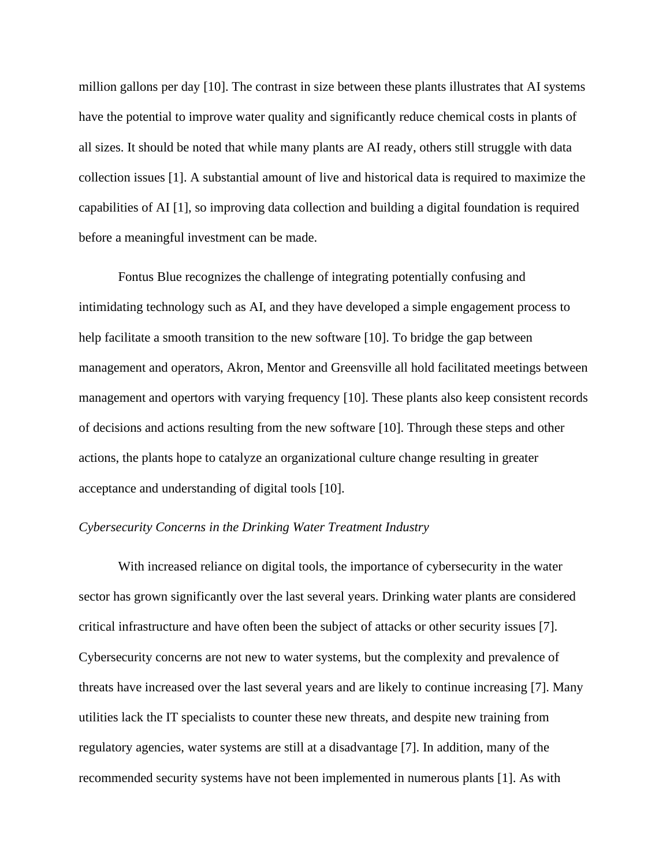million gallons per day [10]. The contrast in size between these plants illustrates that AI systems have the potential to improve water quality and significantly reduce chemical costs in plants of all sizes. It should be noted that while many plants are AI ready, others still struggle with data collection issues [1]. A substantial amount of live and historical data is required to maximize the capabilities of AI [1], so improving data collection and building a digital foundation is required before a meaningful investment can be made.

Fontus Blue recognizes the challenge of integrating potentially confusing and intimidating technology such as AI, and they have developed a simple engagement process to help facilitate a smooth transition to the new software [10]. To bridge the gap between management and operators, Akron, Mentor and Greensville all hold facilitated meetings between management and opertors with varying frequency [10]. These plants also keep consistent records of decisions and actions resulting from the new software [10]. Through these steps and other actions, the plants hope to catalyze an organizational culture change resulting in greater acceptance and understanding of digital tools [10].

#### *Cybersecurity Concerns in the Drinking Water Treatment Industry*

With increased reliance on digital tools, the importance of cybersecurity in the water sector has grown significantly over the last several years. Drinking water plants are considered critical infrastructure and have often been the subject of attacks or other security issues [7]. Cybersecurity concerns are not new to water systems, but the complexity and prevalence of threats have increased over the last several years and are likely to continue increasing [7]. Many utilities lack the IT specialists to counter these new threats, and despite new training from regulatory agencies, water systems are still at a disadvantage [7]. In addition, many of the recommended security systems have not been implemented in numerous plants [1]. As with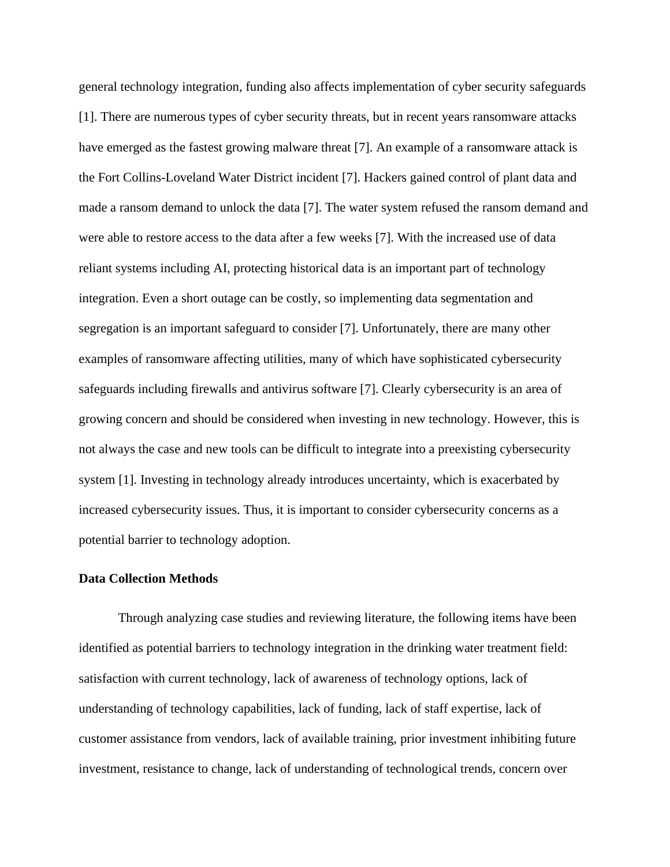general technology integration, funding also affects implementation of cyber security safeguards [1]. There are numerous types of cyber security threats, but in recent years ransomware attacks have emerged as the fastest growing malware threat [7]. An example of a ransomware attack is the Fort Collins-Loveland Water District incident [7]. Hackers gained control of plant data and made a ransom demand to unlock the data [7]. The water system refused the ransom demand and were able to restore access to the data after a few weeks [7]. With the increased use of data reliant systems including AI, protecting historical data is an important part of technology integration. Even a short outage can be costly, so implementing data segmentation and segregation is an important safeguard to consider [7]. Unfortunately, there are many other examples of ransomware affecting utilities, many of which have sophisticated cybersecurity safeguards including firewalls and antivirus software [7]. Clearly cybersecurity is an area of growing concern and should be considered when investing in new technology. However, this is not always the case and new tools can be difficult to integrate into a preexisting cybersecurity system [1]. Investing in technology already introduces uncertainty, which is exacerbated by increased cybersecurity issues. Thus, it is important to consider cybersecurity concerns as a potential barrier to technology adoption.

#### **Data Collection Methods**

Through analyzing case studies and reviewing literature, the following items have been identified as potential barriers to technology integration in the drinking water treatment field: satisfaction with current technology, lack of awareness of technology options, lack of understanding of technology capabilities, lack of funding, lack of staff expertise, lack of customer assistance from vendors, lack of available training, prior investment inhibiting future investment, resistance to change, lack of understanding of technological trends, concern over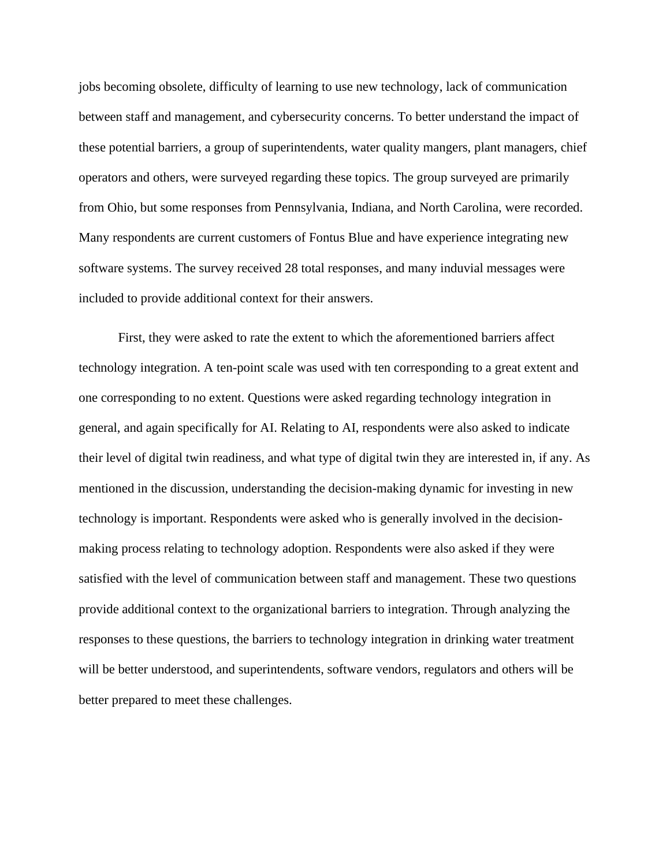jobs becoming obsolete, difficulty of learning to use new technology, lack of communication between staff and management, and cybersecurity concerns. To better understand the impact of these potential barriers, a group of superintendents, water quality mangers, plant managers, chief operators and others, were surveyed regarding these topics. The group surveyed are primarily from Ohio, but some responses from Pennsylvania, Indiana, and North Carolina, were recorded. Many respondents are current customers of Fontus Blue and have experience integrating new software systems. The survey received 28 total responses, and many induvial messages were included to provide additional context for their answers.

First, they were asked to rate the extent to which the aforementioned barriers affect technology integration. A ten-point scale was used with ten corresponding to a great extent and one corresponding to no extent. Questions were asked regarding technology integration in general, and again specifically for AI. Relating to AI, respondents were also asked to indicate their level of digital twin readiness, and what type of digital twin they are interested in, if any. As mentioned in the discussion, understanding the decision-making dynamic for investing in new technology is important. Respondents were asked who is generally involved in the decisionmaking process relating to technology adoption. Respondents were also asked if they were satisfied with the level of communication between staff and management. These two questions provide additional context to the organizational barriers to integration. Through analyzing the responses to these questions, the barriers to technology integration in drinking water treatment will be better understood, and superintendents, software vendors, regulators and others will be better prepared to meet these challenges.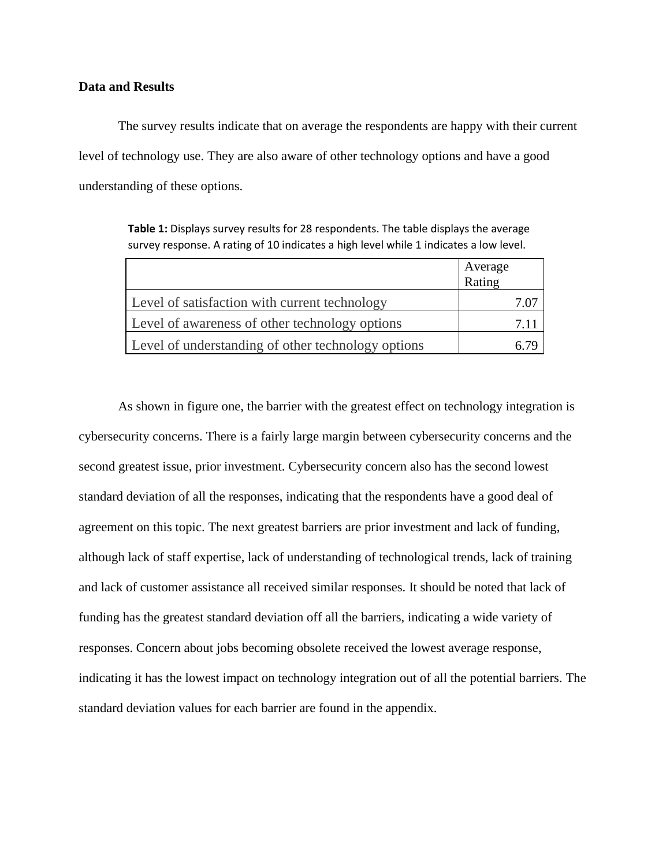#### **Data and Results**

The survey results indicate that on average the respondents are happy with their current level of technology use. They are also aware of other technology options and have a good understanding of these options.

**Table 1:** Displays survey results for 28 respondents. The table displays the average survey response. A rating of 10 indicates a high level while 1 indicates a low level.

|                                                    | Average<br>Rating |
|----------------------------------------------------|-------------------|
| Level of satisfaction with current technology      |                   |
| Level of awareness of other technology options     | 7.11              |
| Level of understanding of other technology options |                   |

As shown in figure one, the barrier with the greatest effect on technology integration is cybersecurity concerns. There is a fairly large margin between cybersecurity concerns and the second greatest issue, prior investment. Cybersecurity concern also has the second lowest standard deviation of all the responses, indicating that the respondents have a good deal of agreement on this topic. The next greatest barriers are prior investment and lack of funding, although lack of staff expertise, lack of understanding of technological trends, lack of training and lack of customer assistance all received similar responses. It should be noted that lack of funding has the greatest standard deviation off all the barriers, indicating a wide variety of responses. Concern about jobs becoming obsolete received the lowest average response, indicating it has the lowest impact on technology integration out of all the potential barriers. The standard deviation values for each barrier are found in the appendix.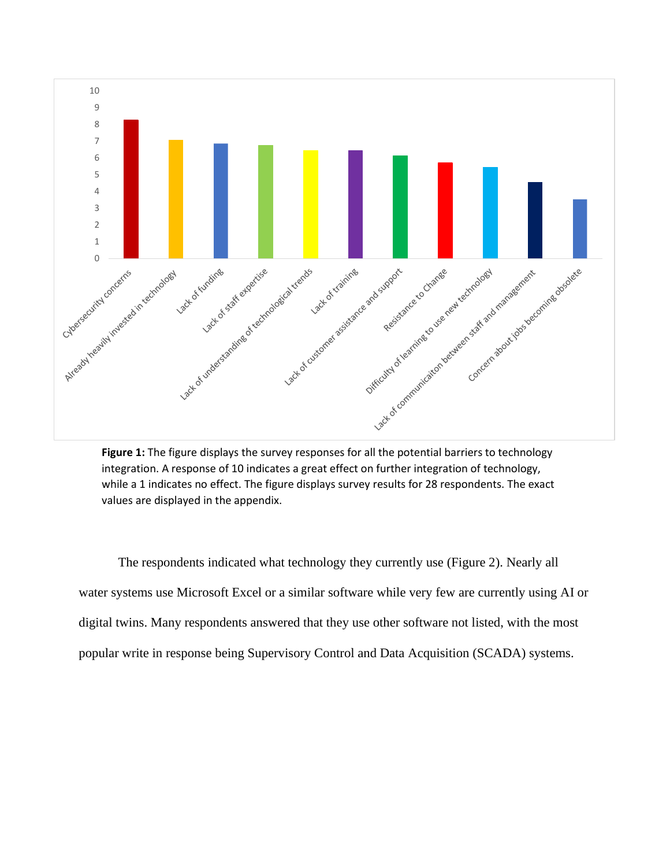

integration. A response of 10 indicates a great effect on further integration of technology, while a 1 indicates no effect. The figure displays survey results for 28 respondents. The exact values are displayed in the appendix.

The respondents indicated what technology they currently use (Figure 2). Nearly all water systems use Microsoft Excel or a similar software while very few are currently using AI or digital twins. Many respondents answered that they use other software not listed, with the most popular write in response being Supervisory Control and Data Acquisition (SCADA) systems.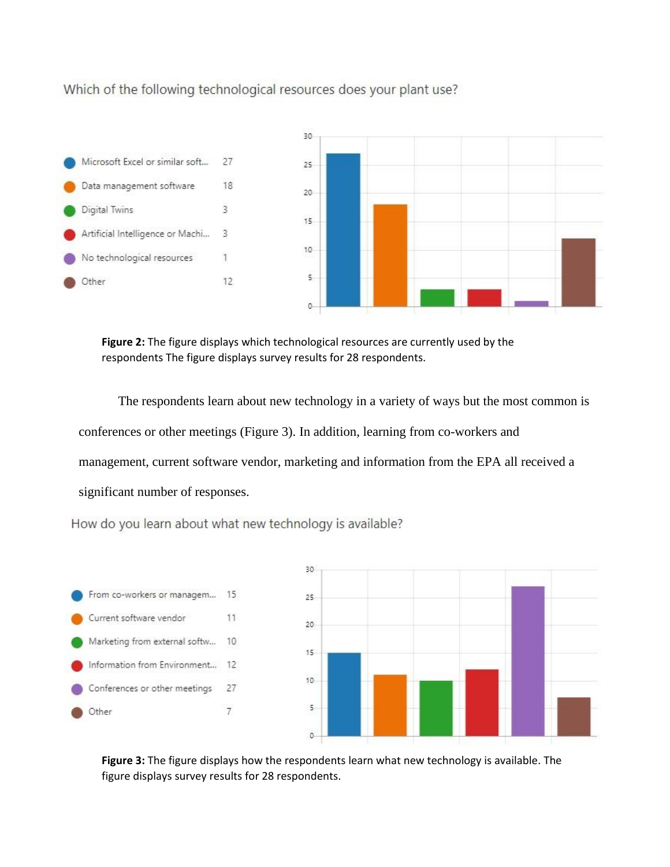Which of the following technological resources does your plant use?



**Figure 2:** The figure displays which technological resources are currently used by the respondents The figure displays survey results for 28 respondents.

The respondents learn about new technology in a variety of ways but the most common is conferences or other meetings (Figure 3). In addition, learning from co-workers and management, current software vendor, marketing and information from the EPA all received a significant number of responses.

How do you learn about what new technology is available?



**Figure 3:** The figure displays how the respondents learn what new technology is available. The figure displays survey results for 28 respondents.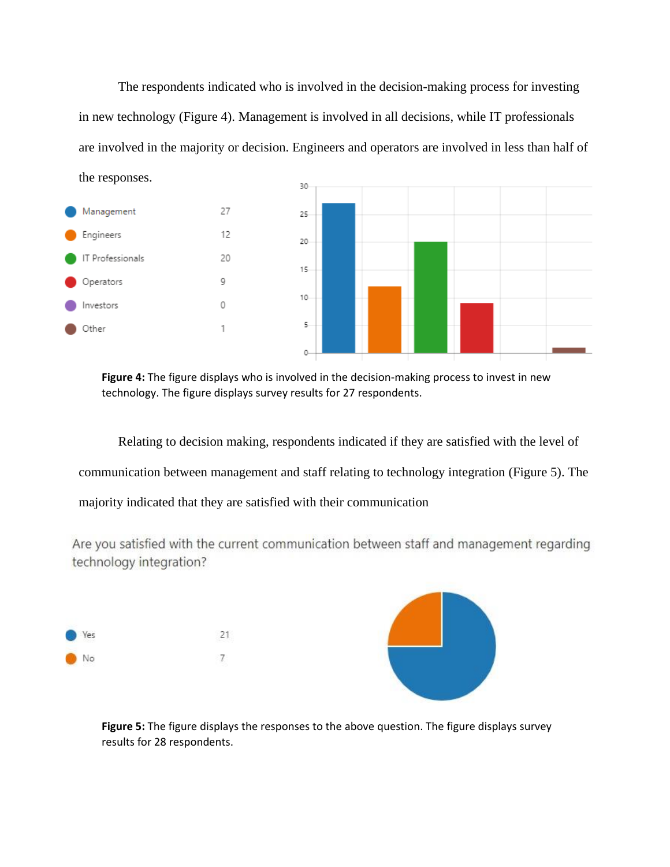The respondents indicated who is involved in the decision-making process for investing in new technology (Figure 4). Management is involved in all decisions, while IT professionals are involved in the majority or decision. Engineers and operators are involved in less than half of the responses. 30



**Figure 4:** The figure displays who is involved in the decision-making process to invest in new technology. The figure displays survey results for 27 respondents.

Relating to decision making, respondents indicated if they are satisfied with the level of communication between management and staff relating to technology integration (Figure 5). The majority indicated that they are satisfied with their communication

Are you satisfied with the current communication between staff and management regarding technology integration?



**Figure 5:** The figure displays the responses to the above question. The figure displays survey results for 28 respondents.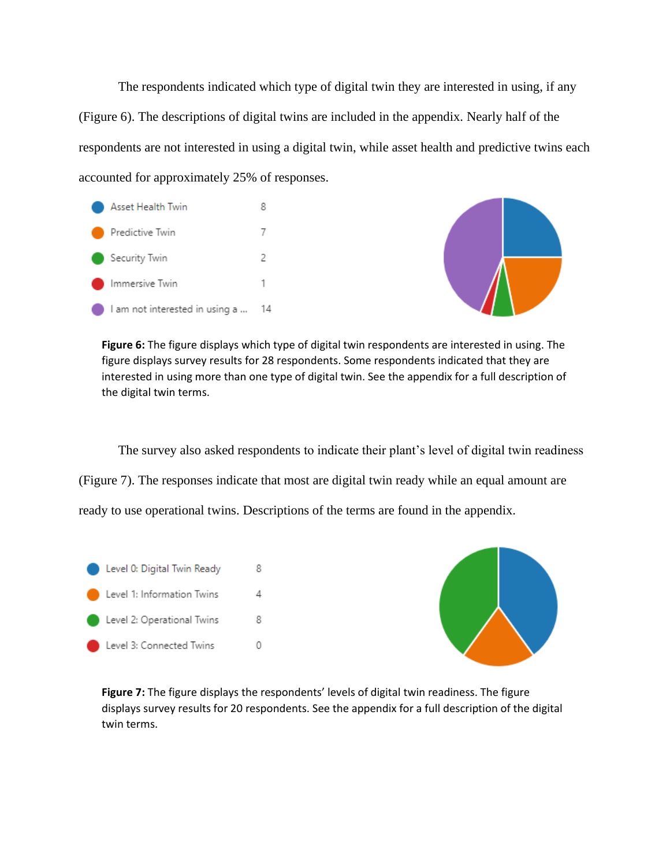The respondents indicated which type of digital twin they are interested in using, if any (Figure 6). The descriptions of digital twins are included in the appendix. Nearly half of the respondents are not interested in using a digital twin, while asset health and predictive twins each accounted for approximately 25% of responses.





**Figure 6:** The figure displays which type of digital twin respondents are interested in using. The figure displays survey results for 28 respondents. Some respondents indicated that they are interested in using more than one type of digital twin. See the appendix for a full description of the digital twin terms.

The survey also asked respondents to indicate their plant's level of digital twin readiness (Figure 7). The responses indicate that most are digital twin ready while an equal amount are ready to use operational twins. Descriptions of the terms are found in the appendix.





**Figure 7:** The figure displays the respondents' levels of digital twin readiness. The figure displays survey results for 20 respondents. See the appendix for a full description of the digital twin terms.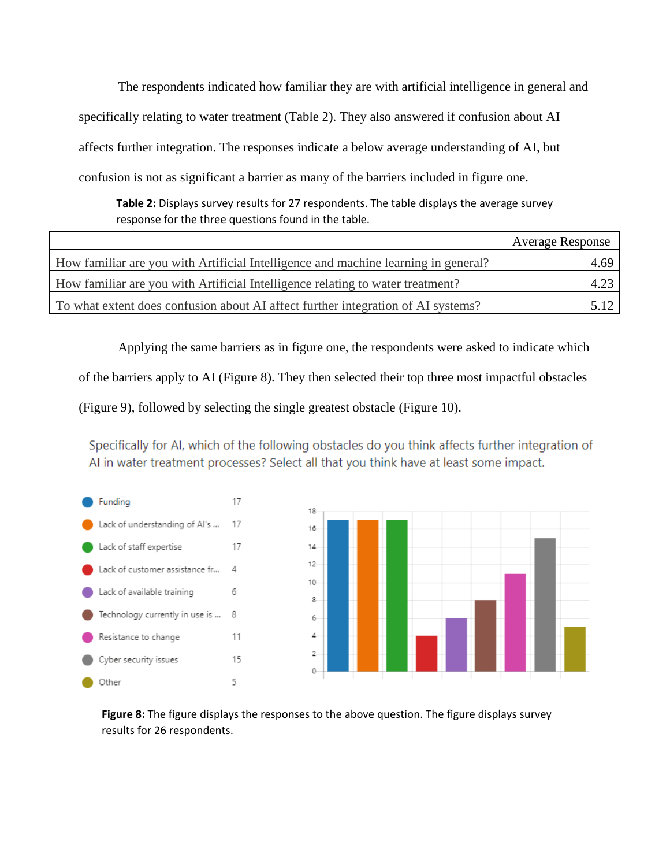The respondents indicated how familiar they are with artificial intelligence in general and specifically relating to water treatment (Table 2). They also answered if confusion about AI affects further integration. The responses indicate a below average understanding of AI, but confusion is not as significant a barrier as many of the barriers included in figure one.

**Table 2:** Displays survey results for 27 respondents. The table displays the average survey response for the three questions found in the table.

|                                                                                    | <b>Average Response</b> |
|------------------------------------------------------------------------------------|-------------------------|
| How familiar are you with Artificial Intelligence and machine learning in general? | 4.69                    |
| How familiar are you with Artificial Intelligence relating to water treatment?     |                         |
| To what extent does confusion about AI affect further integration of AI systems?   |                         |

Applying the same barriers as in figure one, the respondents were asked to indicate which

of the barriers apply to AI (Figure 8). They then selected their top three most impactful obstacles

(Figure 9), followed by selecting the single greatest obstacle (Figure 10).

Specifically for AI, which of the following obstacles do you think affects further integration of AI in water treatment processes? Select all that you think have at least some impact.





**Figure 8:** The figure displays the responses to the above question. The figure displays survey results for 26 respondents.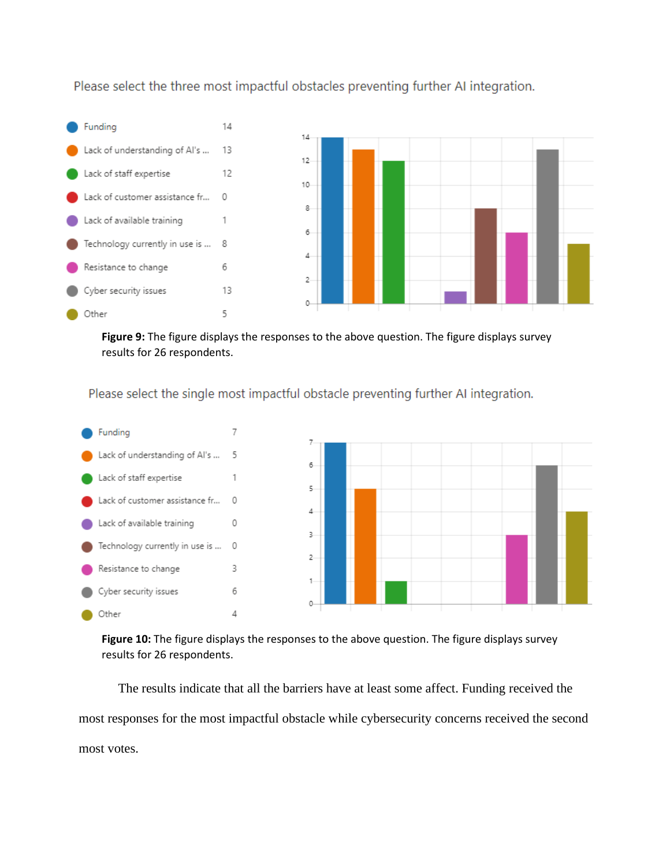Please select the three most impactful obstacles preventing further AI integration.



**Figure 9:** The figure displays the responses to the above question. The figure displays survey results for 26 respondents.

Please select the single most impactful obstacle preventing further AI integration.



**Figure 10:** The figure displays the responses to the above question. The figure displays survey results for 26 respondents.

The results indicate that all the barriers have at least some affect. Funding received the most responses for the most impactful obstacle while cybersecurity concerns received the second most votes.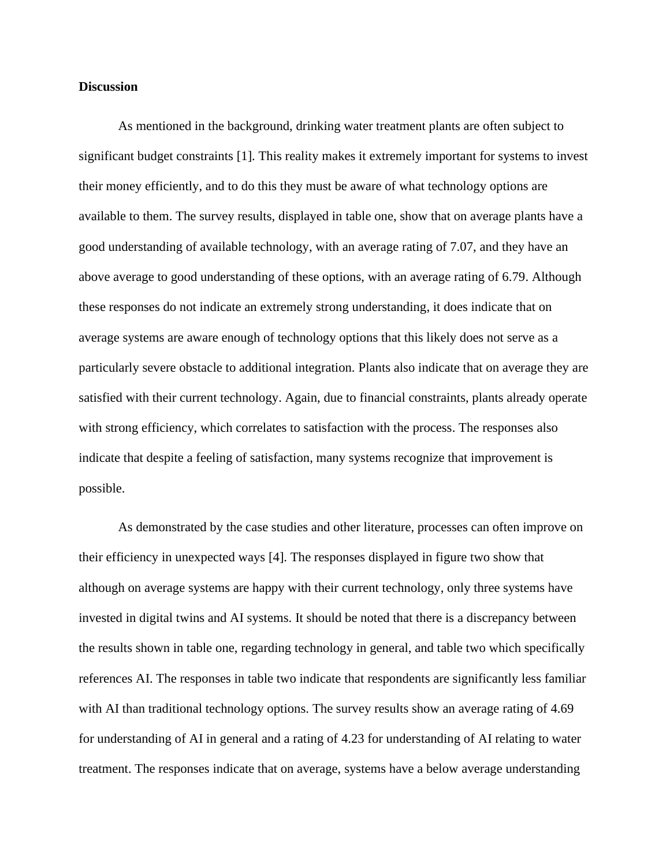#### **Discussion**

As mentioned in the background, drinking water treatment plants are often subject to significant budget constraints [1]. This reality makes it extremely important for systems to invest their money efficiently, and to do this they must be aware of what technology options are available to them. The survey results, displayed in table one, show that on average plants have a good understanding of available technology, with an average rating of 7.07, and they have an above average to good understanding of these options, with an average rating of 6.79. Although these responses do not indicate an extremely strong understanding, it does indicate that on average systems are aware enough of technology options that this likely does not serve as a particularly severe obstacle to additional integration. Plants also indicate that on average they are satisfied with their current technology. Again, due to financial constraints, plants already operate with strong efficiency, which correlates to satisfaction with the process. The responses also indicate that despite a feeling of satisfaction, many systems recognize that improvement is possible.

As demonstrated by the case studies and other literature, processes can often improve on their efficiency in unexpected ways [4]. The responses displayed in figure two show that although on average systems are happy with their current technology, only three systems have invested in digital twins and AI systems. It should be noted that there is a discrepancy between the results shown in table one, regarding technology in general, and table two which specifically references AI. The responses in table two indicate that respondents are significantly less familiar with AI than traditional technology options. The survey results show an average rating of 4.69 for understanding of AI in general and a rating of 4.23 for understanding of AI relating to water treatment. The responses indicate that on average, systems have a below average understanding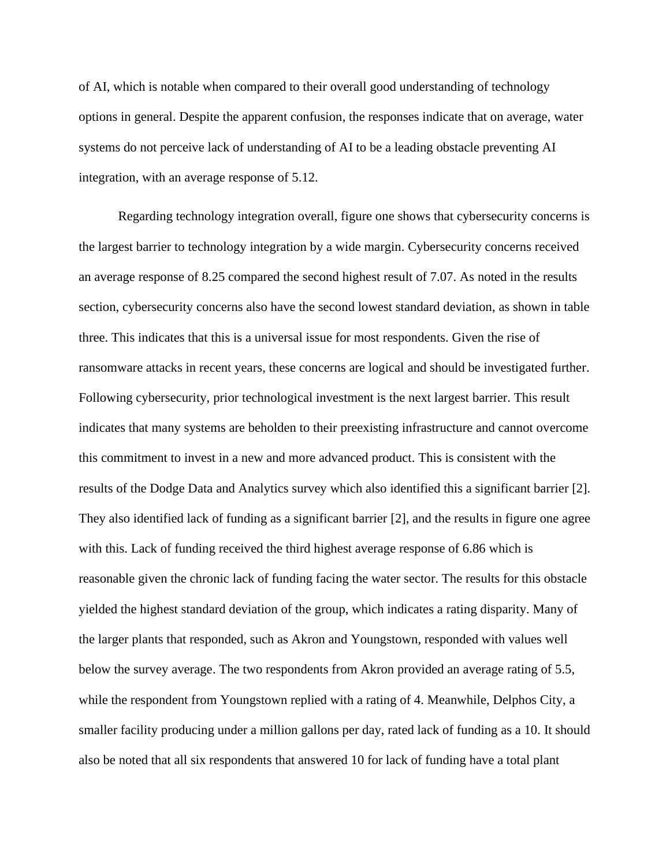of AI, which is notable when compared to their overall good understanding of technology options in general. Despite the apparent confusion, the responses indicate that on average, water systems do not perceive lack of understanding of AI to be a leading obstacle preventing AI integration, with an average response of 5.12.

Regarding technology integration overall, figure one shows that cybersecurity concerns is the largest barrier to technology integration by a wide margin. Cybersecurity concerns received an average response of 8.25 compared the second highest result of 7.07. As noted in the results section, cybersecurity concerns also have the second lowest standard deviation, as shown in table three. This indicates that this is a universal issue for most respondents. Given the rise of ransomware attacks in recent years, these concerns are logical and should be investigated further. Following cybersecurity, prior technological investment is the next largest barrier. This result indicates that many systems are beholden to their preexisting infrastructure and cannot overcome this commitment to invest in a new and more advanced product. This is consistent with the results of the Dodge Data and Analytics survey which also identified this a significant barrier [2]. They also identified lack of funding as a significant barrier [2], and the results in figure one agree with this. Lack of funding received the third highest average response of 6.86 which is reasonable given the chronic lack of funding facing the water sector. The results for this obstacle yielded the highest standard deviation of the group, which indicates a rating disparity. Many of the larger plants that responded, such as Akron and Youngstown, responded with values well below the survey average. The two respondents from Akron provided an average rating of 5.5, while the respondent from Youngstown replied with a rating of 4. Meanwhile, Delphos City, a smaller facility producing under a million gallons per day, rated lack of funding as a 10. It should also be noted that all six respondents that answered 10 for lack of funding have a total plant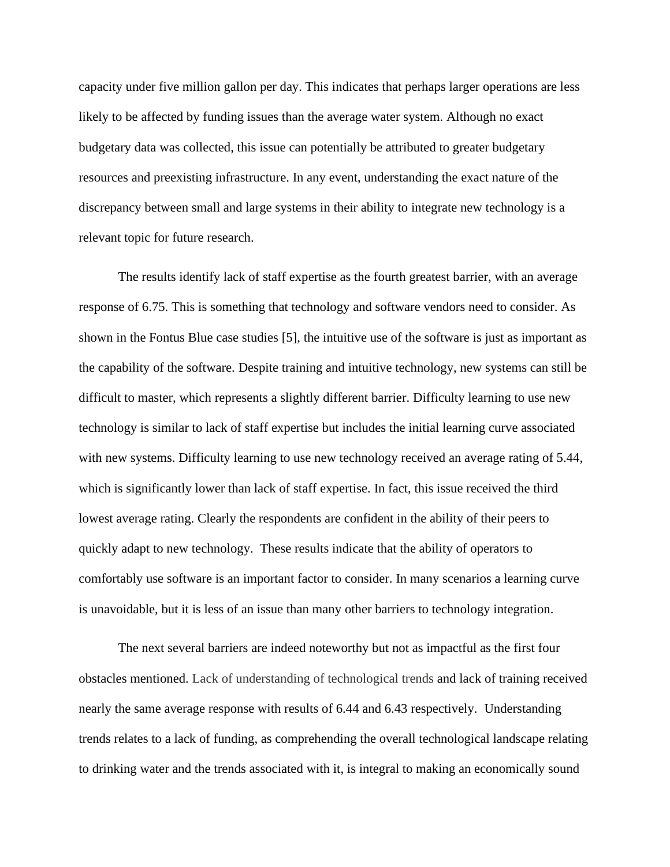capacity under five million gallon per day. This indicates that perhaps larger operations are less likely to be affected by funding issues than the average water system. Although no exact budgetary data was collected, this issue can potentially be attributed to greater budgetary resources and preexisting infrastructure. In any event, understanding the exact nature of the discrepancy between small and large systems in their ability to integrate new technology is a relevant topic for future research.

The results identify lack of staff expertise as the fourth greatest barrier, with an average response of 6.75. This is something that technology and software vendors need to consider. As shown in the Fontus Blue case studies [5], the intuitive use of the software is just as important as the capability of the software. Despite training and intuitive technology, new systems can still be difficult to master, which represents a slightly different barrier. Difficulty learning to use new technology is similar to lack of staff expertise but includes the initial learning curve associated with new systems. Difficulty learning to use new technology received an average rating of 5.44, which is significantly lower than lack of staff expertise. In fact, this issue received the third lowest average rating. Clearly the respondents are confident in the ability of their peers to quickly adapt to new technology. These results indicate that the ability of operators to comfortably use software is an important factor to consider. In many scenarios a learning curve is unavoidable, but it is less of an issue than many other barriers to technology integration.

The next several barriers are indeed noteworthy but not as impactful as the first four obstacles mentioned. Lack of understanding of technological trends and lack of training received nearly the same average response with results of 6.44 and 6.43 respectively. Understanding trends relates to a lack of funding, as comprehending the overall technological landscape relating to drinking water and the trends associated with it, is integral to making an economically sound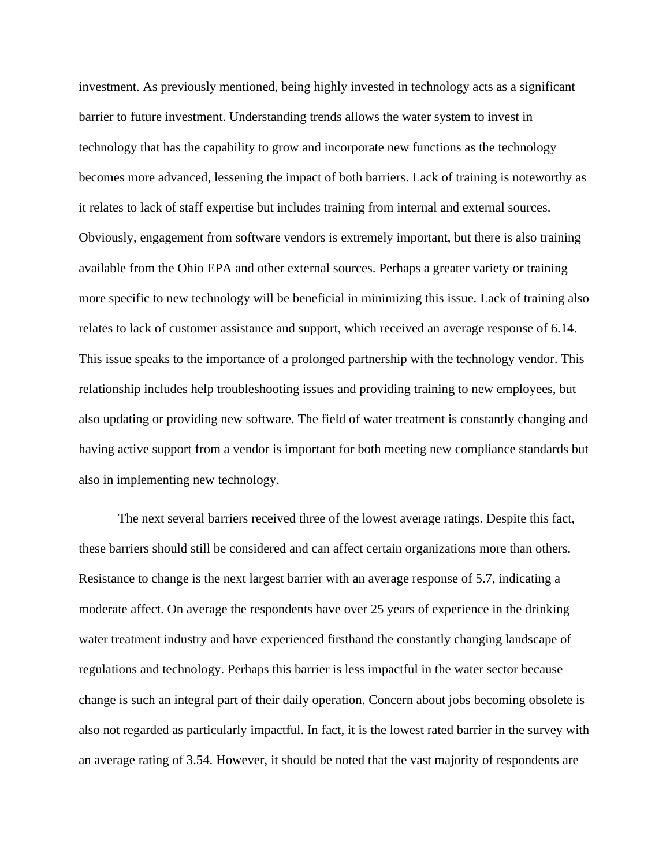investment. As previously mentioned, being highly invested in technology acts as a significant barrier to future investment. Understanding trends allows the water system to invest in technology that has the capability to grow and incorporate new functions as the technology becomes more advanced, lessening the impact of both barriers. Lack of training is noteworthy as it relates to lack of staff expertise but includes training from internal and external sources. Obviously, engagement from software vendors is extremely important, but there is also training available from the Ohio EPA and other external sources. Perhaps a greater variety or training more specific to new technology will be beneficial in minimizing this issue. Lack of training also relates to lack of customer assistance and support, which received an average response of 6.14. This issue speaks to the importance of a prolonged partnership with the technology vendor. This relationship includes help troubleshooting issues and providing training to new employees, but also updating or providing new software. The field of water treatment is constantly changing and having active support from a vendor is important for both meeting new compliance standards but also in implementing new technology.

The next several barriers received three of the lowest average ratings. Despite this fact, these barriers should still be considered and can affect certain organizations more than others. Resistance to change is the next largest barrier with an average response of 5.7, indicating a moderate affect. On average the respondents have over 25 years of experience in the drinking water treatment industry and have experienced firsthand the constantly changing landscape of regulations and technology. Perhaps this barrier is less impactful in the water sector because change is such an integral part of their daily operation. Concern about jobs becoming obsolete is also not regarded as particularly impactful. In fact, it is the lowest rated barrier in the survey with an average rating of 3.54. However, it should be noted that the vast majority of respondents are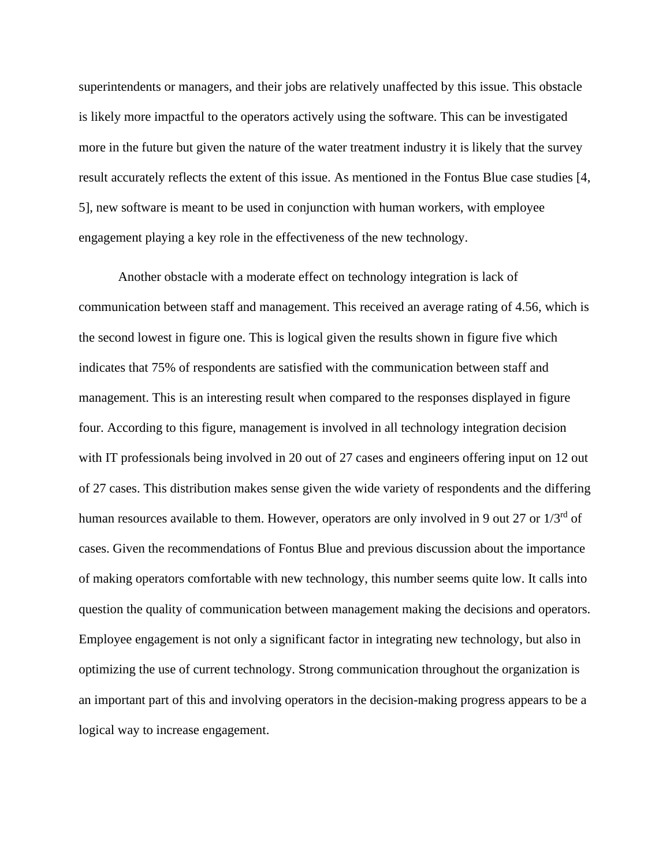superintendents or managers, and their jobs are relatively unaffected by this issue. This obstacle is likely more impactful to the operators actively using the software. This can be investigated more in the future but given the nature of the water treatment industry it is likely that the survey result accurately reflects the extent of this issue. As mentioned in the Fontus Blue case studies [4, 5], new software is meant to be used in conjunction with human workers, with employee engagement playing a key role in the effectiveness of the new technology.

Another obstacle with a moderate effect on technology integration is lack of communication between staff and management. This received an average rating of 4.56, which is the second lowest in figure one. This is logical given the results shown in figure five which indicates that 75% of respondents are satisfied with the communication between staff and management. This is an interesting result when compared to the responses displayed in figure four. According to this figure, management is involved in all technology integration decision with IT professionals being involved in 20 out of 27 cases and engineers offering input on 12 out of 27 cases. This distribution makes sense given the wide variety of respondents and the differing human resources available to them. However, operators are only involved in 9 out 27 or  $1/3<sup>rd</sup>$  of cases. Given the recommendations of Fontus Blue and previous discussion about the importance of making operators comfortable with new technology, this number seems quite low. It calls into question the quality of communication between management making the decisions and operators. Employee engagement is not only a significant factor in integrating new technology, but also in optimizing the use of current technology. Strong communication throughout the organization is an important part of this and involving operators in the decision-making progress appears to be a logical way to increase engagement.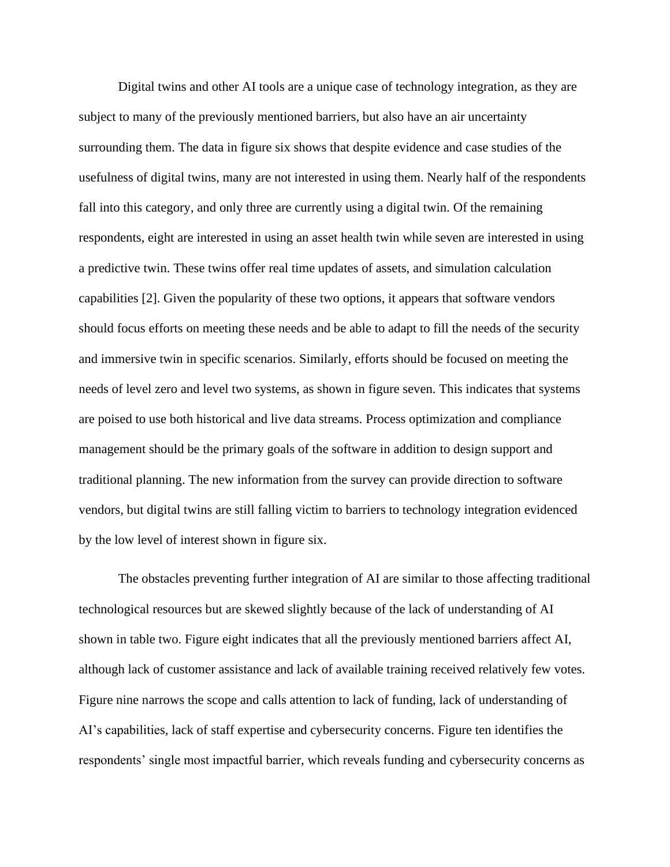Digital twins and other AI tools are a unique case of technology integration, as they are subject to many of the previously mentioned barriers, but also have an air uncertainty surrounding them. The data in figure six shows that despite evidence and case studies of the usefulness of digital twins, many are not interested in using them. Nearly half of the respondents fall into this category, and only three are currently using a digital twin. Of the remaining respondents, eight are interested in using an asset health twin while seven are interested in using a predictive twin. These twins offer real time updates of assets, and simulation calculation capabilities [2]. Given the popularity of these two options, it appears that software vendors should focus efforts on meeting these needs and be able to adapt to fill the needs of the security and immersive twin in specific scenarios. Similarly, efforts should be focused on meeting the needs of level zero and level two systems, as shown in figure seven. This indicates that systems are poised to use both historical and live data streams. Process optimization and compliance management should be the primary goals of the software in addition to design support and traditional planning. The new information from the survey can provide direction to software vendors, but digital twins are still falling victim to barriers to technology integration evidenced by the low level of interest shown in figure six.

The obstacles preventing further integration of AI are similar to those affecting traditional technological resources but are skewed slightly because of the lack of understanding of AI shown in table two. Figure eight indicates that all the previously mentioned barriers affect AI, although lack of customer assistance and lack of available training received relatively few votes. Figure nine narrows the scope and calls attention to lack of funding, lack of understanding of AI's capabilities, lack of staff expertise and cybersecurity concerns. Figure ten identifies the respondents' single most impactful barrier, which reveals funding and cybersecurity concerns as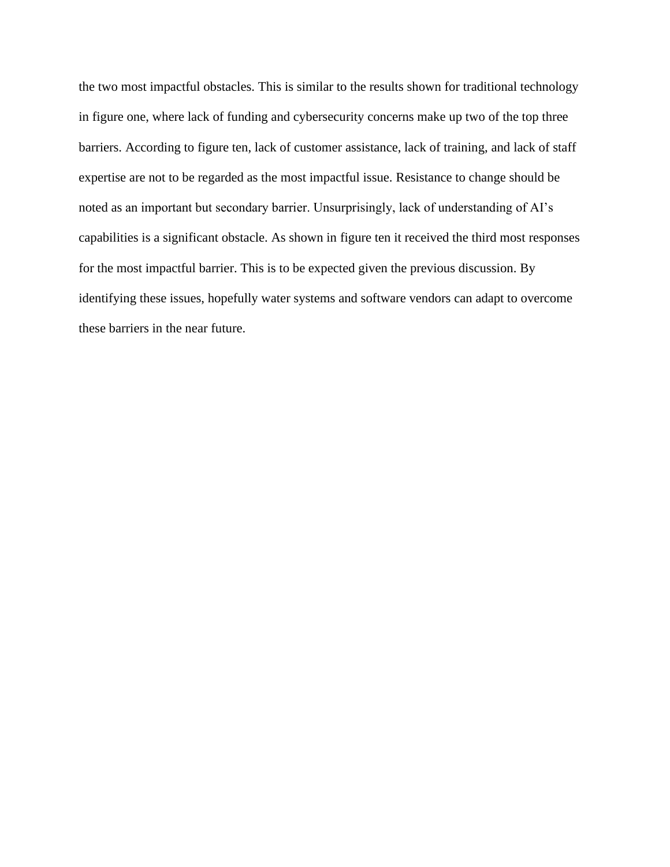the two most impactful obstacles. This is similar to the results shown for traditional technology in figure one, where lack of funding and cybersecurity concerns make up two of the top three barriers. According to figure ten, lack of customer assistance, lack of training, and lack of staff expertise are not to be regarded as the most impactful issue. Resistance to change should be noted as an important but secondary barrier. Unsurprisingly, lack of understanding of AI's capabilities is a significant obstacle. As shown in figure ten it received the third most responses for the most impactful barrier. This is to be expected given the previous discussion. By identifying these issues, hopefully water systems and software vendors can adapt to overcome these barriers in the near future.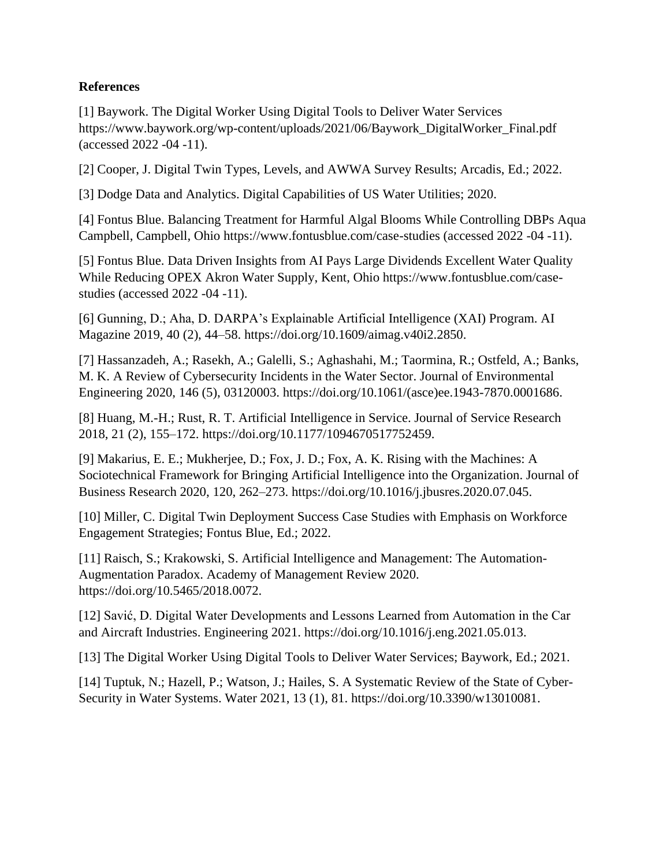### **References**

[1] Baywork. The Digital Worker Using Digital Tools to Deliver Water Services https://www.baywork.org/wp-content/uploads/2021/06/Baywork\_DigitalWorker\_Final.pdf (accessed 2022 -04 -11).

[2] Cooper, J. Digital Twin Types, Levels, and AWWA Survey Results; Arcadis, Ed.; 2022.

[3] Dodge Data and Analytics. Digital Capabilities of US Water Utilities; 2020.

[4] Fontus Blue. Balancing Treatment for Harmful Algal Blooms While Controlling DBPs Aqua Campbell, Campbell, Ohio https://www.fontusblue.com/case-studies (accessed 2022 -04 -11).

[5] Fontus Blue. Data Driven Insights from AI Pays Large Dividends Excellent Water Quality While Reducing OPEX Akron Water Supply, Kent, Ohio https://www.fontusblue.com/casestudies (accessed 2022 -04 -11).

[6] Gunning, D.; Aha, D. DARPA's Explainable Artificial Intelligence (XAI) Program. AI Magazine 2019, 40 (2), 44–58. https://doi.org/10.1609/aimag.v40i2.2850.

[7] Hassanzadeh, A.; Rasekh, A.; Galelli, S.; Aghashahi, M.; Taormina, R.; Ostfeld, A.; Banks, M. K. A Review of Cybersecurity Incidents in the Water Sector. Journal of Environmental Engineering 2020, 146 (5), 03120003. https://doi.org/10.1061/(asce)ee.1943-7870.0001686.

[8] Huang, M.-H.; Rust, R. T. Artificial Intelligence in Service. Journal of Service Research 2018, 21 (2), 155–172. https://doi.org/10.1177/1094670517752459.

[9] Makarius, E. E.; Mukherjee, D.; Fox, J. D.; Fox, A. K. Rising with the Machines: A Sociotechnical Framework for Bringing Artificial Intelligence into the Organization. Journal of Business Research 2020, 120, 262–273. https://doi.org/10.1016/j.jbusres.2020.07.045.

[10] Miller, C. Digital Twin Deployment Success Case Studies with Emphasis on Workforce Engagement Strategies; Fontus Blue, Ed.; 2022.

[11] Raisch, S.; Krakowski, S. Artificial Intelligence and Management: The Automation-Augmentation Paradox. Academy of Management Review 2020. https://doi.org/10.5465/2018.0072.

[12] Savić, D. Digital Water Developments and Lessons Learned from Automation in the Car and Aircraft Industries. Engineering 2021. https://doi.org/10.1016/j.eng.2021.05.013.

[13] The Digital Worker Using Digital Tools to Deliver Water Services; Baywork, Ed.; 2021.

[14] Tuptuk, N.; Hazell, P.; Watson, J.; Hailes, S. A Systematic Review of the State of Cyber-Security in Water Systems. Water 2021, 13 (1), 81. https://doi.org/10.3390/w13010081.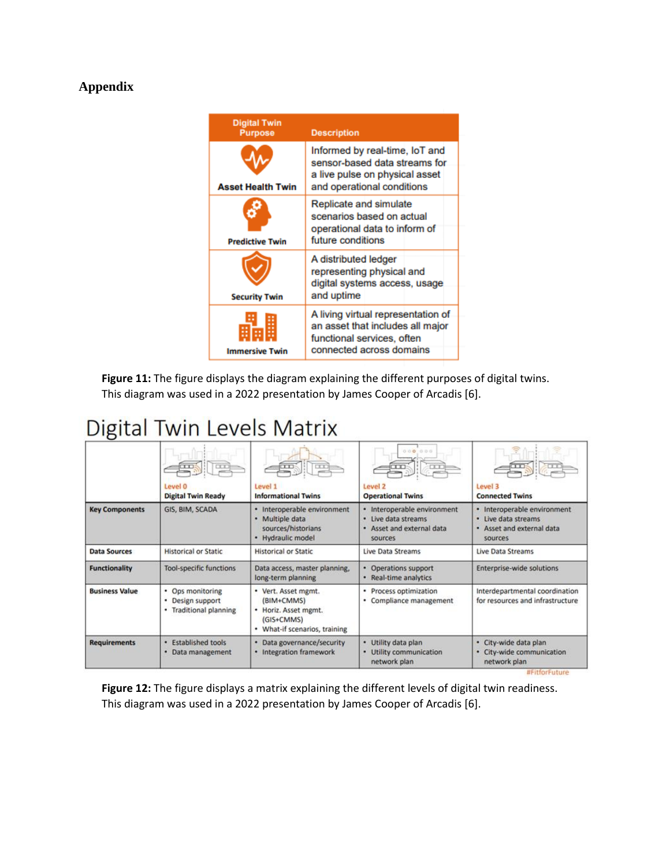### **Appendix**



**Figure 11:** The figure displays the diagram explaining the different purposes of digital twins. This diagram was used in a 2022 presentation by James Cooper of Arcadis [6].

# Digital Twin Levels Matrix

|                       | CT<br>Level 0                                                          | Level 1                                                                                                     | 000 000<br>œ<br>Level <sub>2</sub>                                                            | TT<br>Level 3                                                                              |
|-----------------------|------------------------------------------------------------------------|-------------------------------------------------------------------------------------------------------------|-----------------------------------------------------------------------------------------------|--------------------------------------------------------------------------------------------|
|                       | <b>Digital Twin Ready</b>                                              | <b>Informational Twins</b>                                                                                  | <b>Operational Twins</b>                                                                      | <b>Connected Twins</b>                                                                     |
| <b>Key Components</b> | GIS, BIM, SCADA                                                        | · Interoperable environment<br>· Multiple data<br>sources/historians<br>· Hydraulic model                   | · Interoperable environment<br>· Live data streams<br>Asset and external data<br>٠<br>sources | · Interoperable environment<br>· Live data streams<br>. Asset and external data<br>sources |
| <b>Data Sources</b>   | <b>Historical or Static</b>                                            | <b>Historical or Static</b>                                                                                 | Live Data Streams                                                                             | Live Data Streams                                                                          |
| <b>Functionality</b>  | <b>Tool-specific functions</b>                                         | Data access, master planning,<br>long-term planning                                                         | Operations support<br>Real-time analytics                                                     | Enterprise-wide solutions                                                                  |
| <b>Business Value</b> | • Ops monitoring<br>Design support<br><b>Traditional planning</b><br>٠ | • Vert. Asset mgmt.<br>(BIM+CMMS)<br>Horiz. Asset mgmt.<br>٠<br>(GIS+CMMS)<br>• What-if scenarios, training | Process optimization<br>Compliance management                                                 | Interdepartmental coordination<br>for resources and infrastructure                         |
| <b>Requirements</b>   | · Established tools<br>Data management<br>٠                            | · Data governance/security<br>· Integration framework                                                       | Utility data plan<br>٠<br>Utility communication<br>network plan                               | · City-wide data plan<br>City-wide communication<br>٠<br>network plan                      |

**Figure 12:** The figure displays a matrix explaining the different levels of digital twin readiness. This diagram was used in a 2022 presentation by James Cooper of Arcadis [6].